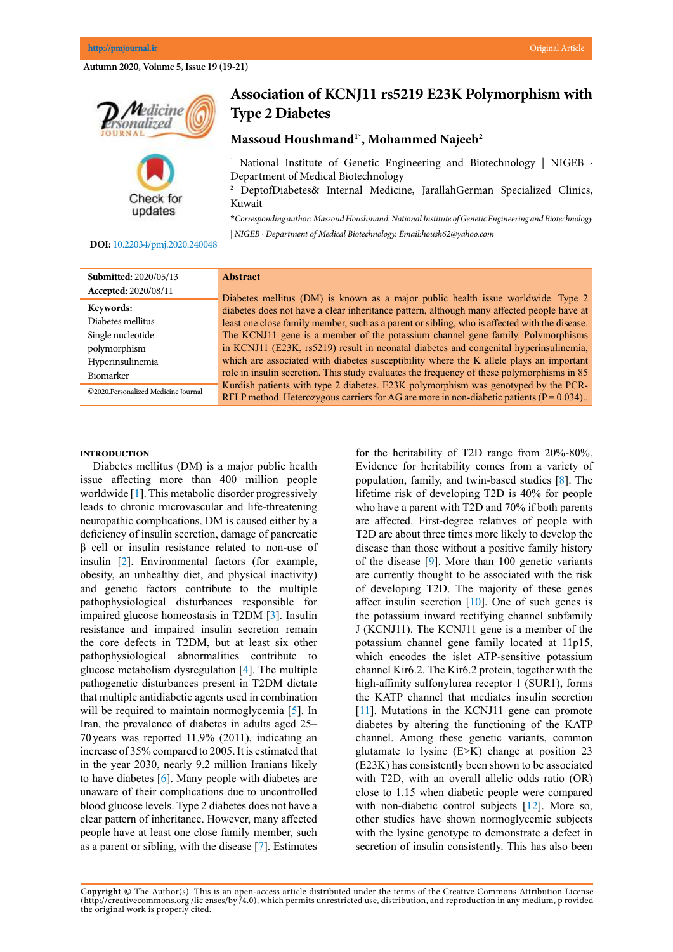**Autumn 2020, Volume 5, Issue 19 (19-21)**



**Association of KCNJ11 rs5219 E23K Polymorphism with Type 2 Diabetes**

**Massoud Houshmand1\*, Mohammed Najeeb2**

<sup>1</sup> National Institute of Genetic Engineering and Biotechnology | NIGEB  $\cdot$ Department of Medical Biotechnology

2 DeptofDiabetes& Internal Medicine, JarallahGerman Specialized Clinics, Kuwait

**\****Corresponding author: Massoud Houshmand. National Institute of Genetic Engineering and Biotechnology | NIGEB · Department of Medical Biotechnology. Email:housh62@yahoo.com*

## **DOI:**[10.22034/pmj.2020.240048](http://10.22034/pmj.2020.240048)

updates

| <b>Submitted: 2020/05/13</b>        | <b>Abstract</b>                                                                                                                                                                   |
|-------------------------------------|-----------------------------------------------------------------------------------------------------------------------------------------------------------------------------------|
| Accepted: 2020/08/11                | Diabetes mellitus (DM) is known as a major public health issue worldwide. Type 2                                                                                                  |
| Keywords:                           | diabetes does not have a clear inheritance pattern, although many affected people have at                                                                                         |
| Diabetes mellitus                   | least one close family member, such as a parent or sibling, who is affected with the disease.                                                                                     |
| Single nucleotide                   | The KCNJ11 gene is a member of the potassium channel gene family. Polymorphisms                                                                                                   |
| polymorphism                        | in KCNJ11 (E23K, rs5219) result in neonatal diabetes and congenital hyperinsulinemia,                                                                                             |
| Hyperinsulinemia                    | which are associated with diabetes susceptibility where the K allele plays an important                                                                                           |
| Biomarker                           | role in insulin secretion. This study evaluates the frequency of these polymorphisms in 85                                                                                        |
| ©2020.Personalized Medicine Journal | Kurdish patients with type 2 diabetes. E23K polymorphism was genotyped by the PCR-<br>RFLP method. Heterozygous carriers for AG are more in non-diabetic patients ( $P = 0.034$ ) |

#### **Introduction**

Diabetes mellitus (DM) is a major public health issue affecting more than 400 million people worldwide [[1\]](#page-1-0). This metabolic disorder progressively leads to chronic microvascular and life-threatening neuropathic complications. DM is caused either by a deficiency of insulin secretion, damage of pancreatic β cell or insulin resistance related to non-use of insulin [\[2](#page-1-0)]. Environmental factors (for example, obesity, an unhealthy diet, and physical inactivity) and genetic factors contribute to the multiple pathophysiological disturbances responsible for impaired glucose homeostasis in T2DM [\[3](#page-1-0)]. Insulin resistance and impaired insulin secretion remain the core defects in T2DM, but at least six other pathophysiological abnormalities contribute to glucose metabolism dysregulation [[4\]](#page-1-0). The multiple pathogenetic disturbances present in T2DM dictate that multiple antidiabetic agents used in combination will be required to maintain normoglycemia [\[5](#page-1-0)]. In Iran, the prevalence of diabetes in adults aged 25– 70 years was reported 11.9% (2011), indicating an increase of 35% compared to 2005. It is estimated that in the year 2030, nearly 9.2 million Iranians likely to have diabetes [\[6](#page-1-0)]. Many people with diabetes are unaware of their complications due to uncontrolled blood glucose levels. Type 2 diabetes does not have a clear pattern of inheritance. However, many affected people have at least one close family member, such as a parent or sibling, with the disease [\[7](#page-1-0)]. Estimates

for the heritability of T2D range from 20%-80%. Evidence for heritability comes from a variety of population, family, and twin-based studies [[8\]](#page-2-0). The lifetime risk of developing T2D is 40% for people who have a parent with T2D and 70% if both parents are affected. First-degree relatives of people with T2D are about three times more likely to develop the disease than those without a positive family history of the disease [\[9](#page-2-0)]. More than 100 genetic variants are currently thought to be associated with the risk of developing T2D. The majority of these genes affect insulin secretion  $[10]$  $[10]$ . One of such genes is the potassium inward rectifying channel subfamily J (KCNJ11). The KCNJ11 gene is a member of the potassium channel gene family located at 11p15, which encodes the islet ATP-sensitive potassium channel Kir6.2. The Kir6.2 protein, together with the high-affinity sulfonylurea receptor 1 (SUR1), forms the KATP channel that mediates insulin secretion [[11\]](#page-2-0). Mutations in the KCNJ11 gene can promote diabetes by altering the functioning of the KATP channel. Among these genetic variants, common glutamate to lysine (E>K) change at position 23 (E23K) has consistently been shown to be associated with T2D, with an overall allelic odds ratio (OR) close to 1.15 when diabetic people were compared with non-diabetic control subjects [[12\]](#page-2-0). More so, other studies have shown normoglycemic subjects with the lysine genotype to demonstrate a defect in secretion of insulin consistently. This has also been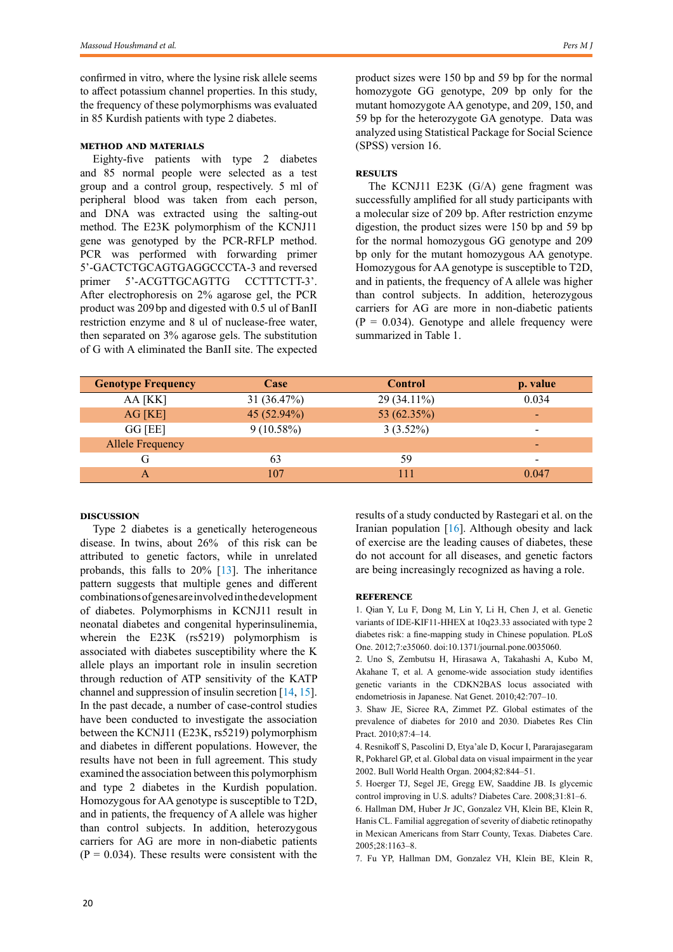<span id="page-1-0"></span>confirmed in vitro, where the lysine risk allele seems to affect potassium channel properties. In this study, the frequency of these polymorphisms was evaluated in 85 Kurdish patients with type 2 diabetes.

## **Method and materials**

Eighty-five patients with type 2 diabetes and 85 normal people were selected as a test group and a control group, respectively. 5 ml of peripheral blood was taken from each person, and DNA was extracted using the salting-out method. The E23K polymorphism of the KCNJ11 gene was genotyped by the PCR-RFLP method. PCR was performed with forwarding primer 5'-GACTCTGCAGTGAGGCCCTA-3 and reversed primer 5'-ACGTTGCAGTTG CCTTTCTT-3'. After electrophoresis on 2% agarose gel, the PCR product was 209bp and digested with 0.5 ul of BanII restriction enzyme and 8 ul of nuclease-free water, then separated on 3% agarose gels. The substitution of G with A eliminated the BanII site. The expected product sizes were 150 bp and 59 bp for the normal homozygote GG genotype, 209 bp only for the mutant homozygote AA genotype, and 209, 150, and 59 bp for the heterozygote GA genotype. Data was analyzed using Statistical Package for Social Science (SPSS) version 16.

## **Results**

The KCNJ11 E23K (G/A) gene fragment was successfully amplified for all study participants with a molecular size of 209 bp. After restriction enzyme digestion, the product sizes were 150 bp and 59 bp for the normal homozygous GG genotype and 209 bp only for the mutant homozygous AA genotype. Homozygous for AA genotype is susceptible to T2D, and in patients, the frequency of A allele was higher than control subjects. In addition, heterozygous carriers for AG are more in non-diabetic patients  $(P = 0.034)$ . Genotype and allele frequency were summarized in Table 1.

| <b>Genotype Frequency</b> | Case         | <b>Control</b> | p. value        |
|---------------------------|--------------|----------------|-----------------|
| AA [KK]                   | 31 (36.47%)  | 29 (34.11%)    | 0.034           |
| AG [KE]                   | 45 (52.94%)  | 53 (62.35%)    | $\blacksquare$  |
| GG [EE]                   | $9(10.58\%)$ | $3(3.52\%)$    | ٠               |
| <b>Allele Frequency</b>   |              |                | $\qquad \qquad$ |
| G                         | 63           | 59             | -               |
|                           | 107          | 111            | 0.047           |

# **Discussion**

Type 2 diabetes is a genetically heterogeneous disease. In twins, about 26% of this risk can be attributed to genetic factors, while in unrelated probands, this falls to 20% [\[13](#page-2-0)]. The inheritance pattern suggests that multiple genes and different combinations of genes are involved in the development of diabetes. Polymorphisms in KCNJ11 result in neonatal diabetes and congenital hyperinsulinemia, wherein the E23K (rs5219) polymorphism is associated with diabetes susceptibility where the K allele plays an important role in insulin secretion through reduction of ATP sensitivity of the KATP channel and suppression of insulin secretion [\[14](#page-2-0), [15\]](#page-2-0). In the past decade, a number of case-control studies have been conducted to investigate the association between the KCNJ11 (E23K, rs5219) polymorphism and diabetes in different populations. However, the results have not been in full agreement. This study examined the association between this polymorphism and type 2 diabetes in the Kurdish population. Homozygous for AA genotype is susceptible to T2D, and in patients, the frequency of A allele was higher than control subjects. In addition, heterozygous carriers for AG are more in non-diabetic patients  $(P = 0.034)$ . These results were consistent with the results of a study conducted by Rastegari et al. on the Iranian population  $[16]$  $[16]$ . Although obesity and lack of exercise are the leading causes of diabetes, these do not account for all diseases, and genetic factors are being increasingly recognized as having a role.

#### **Reference**

1. Qian Y, Lu F, Dong M, Lin Y, Li H, Chen J, et al. Genetic variants of IDE-KIF11-HHEX at 10q23.33 associated with type 2 diabetes risk: a fine-mapping study in Chinese population. PLoS One. 2012;7:e35060. doi:10.1371/journal.pone.0035060.

2. Uno S, Zembutsu H, Hirasawa A, Takahashi A, Kubo M, Akahane T, et al. A genome-wide association study identifies genetic variants in the CDKN2BAS locus associated with endometriosis in Japanese. Nat Genet. 2010;42:707–10.

3. Shaw JE, Sicree RA, Zimmet PZ. Global estimates of the prevalence of diabetes for 2010 and 2030. Diabetes Res Clin Pract. 2010;87:4–14.

4. Resnikoff S, Pascolini D, Etya'ale D, Kocur I, Pararajasegaram R, Pokharel GP, et al. Global data on visual impairment in the year 2002. Bull World Health Organ. 2004;82:844–51.

5. Hoerger TJ, Segel JE, Gregg EW, Saaddine JB. Is glycemic control improving in U.S. adults? Diabetes Care. 2008;31:81–6.

6. Hallman DM, Huber Jr JC, Gonzalez VH, Klein BE, Klein R, Hanis CL. Familial aggregation of severity of diabetic retinopathy in Mexican Americans from Starr County, Texas. Diabetes Care. 2005;28:1163–8.

7. Fu YP, Hallman DM, Gonzalez VH, Klein BE, Klein R,